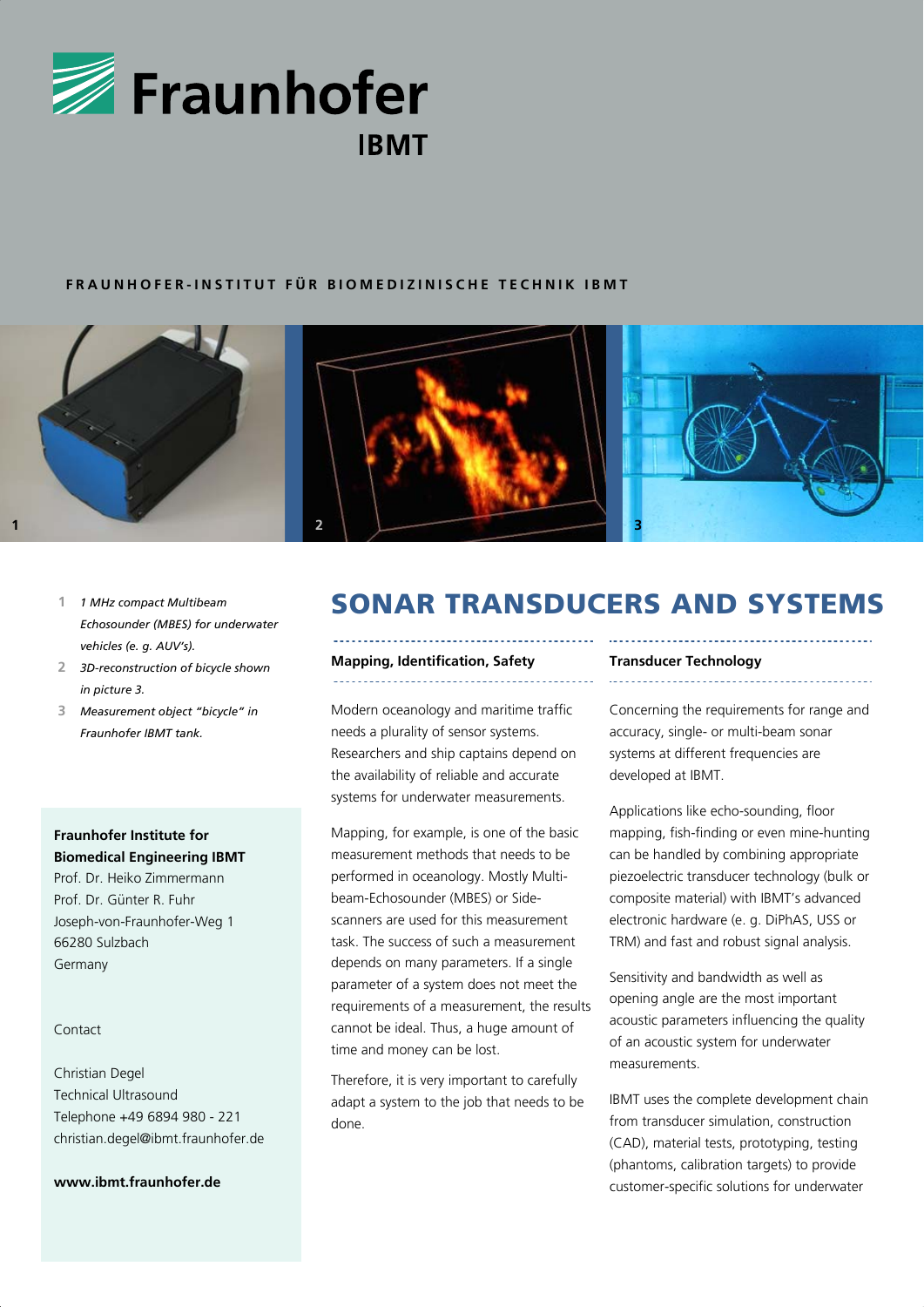

## **FRAUNHOFER-INSTITUT FÜR BIOMEDIZINISCHE TECHNIK IBMT**



- **1** *1 MHz compact Multibeam Echosounder (MBES) for underwater vehicles (e. g. AUV's).*
- **2** *3D-reconstruction of bicycle shown in picture 3.*
- **3** *Measurement object "bicycle" in Fraunhofer IBMT tank.*

## **Fraunhofer Institute for Biomedical Engineering IBMT**

Prof. Dr. Heiko Zimmermann Prof. Dr. Günter R. Fuhr Joseph-von-Fraunhofer-Weg 1 66280 Sulzbach Germany

## Contact

Christian Degel Technical Ultrasound Telephone +49 6894 980 - 221 christian.degel@ibmt.fraunhofer.de

## **www.ibmt.fraunhofer.de**

# SONAR TRANSDUCERS AND SYSTEMS

### **Mapping, Identification, Safety**

Modern oceanology and maritime traffic needs a plurality of sensor systems. Researchers and ship captains depend on the availability of reliable and accurate systems for underwater measurements.

Mapping, for example, is one of the basic measurement methods that needs to be performed in oceanology. Mostly Multibeam-Echosounder (MBES) or Sidescanners are used for this measurement task. The success of such a measurement depends on many parameters. If a single parameter of a system does not meet the requirements of a measurement, the results cannot be ideal. Thus, a huge amount of time and money can be lost.

Therefore, it is very important to carefully adapt a system to the job that needs to be done.

#### **Transducer Technology**

Concerning the requirements for range and accuracy, single- or multi-beam sonar systems at different frequencies are developed at IBMT.

Applications like echo-sounding, floor mapping, fish-finding or even mine-hunting can be handled by combining appropriate piezoelectric transducer technology (bulk or composite material) with IBMT's advanced electronic hardware (e. g. DiPhAS, USS or TRM) and fast and robust signal analysis.

Sensitivity and bandwidth as well as opening angle are the most important acoustic parameters influencing the quality of an acoustic system for underwater measurements.

IBMT uses the complete development chain from transducer simulation, construction (CAD), material tests, prototyping, testing (phantoms, calibration targets) to provide customer-specific solutions for underwater